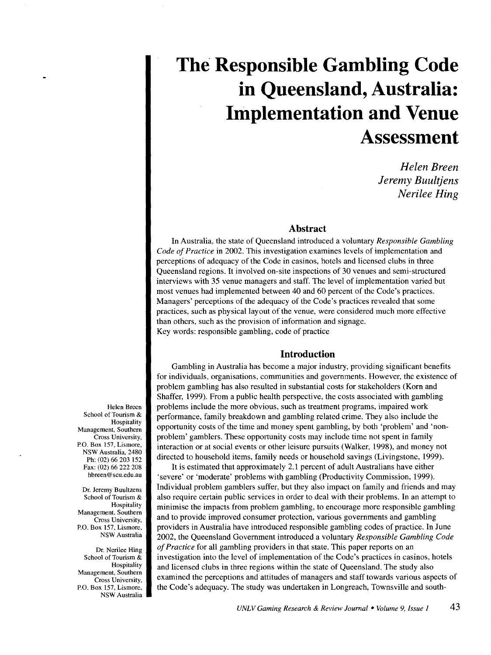*Helen Breen Jeremy Buultjens Nerilee Ring* 

# **Abstract**

In Australia, the state of Queensland introduced a voluntary *Responsible Gambling Code of Practice* in 2002. This investigation examines levels of implementation and perceptions of adequacy of the Code in casinos, hotels and licensed clubs in three Queensland regions. It involved on-site inspections of 30 venues and semi-structured interviews with 35 venue managers and staff. The level of implementation varied but most venues had implemented between 40 and 60 percent of the Code's practices. Managers' perceptions of the adequacy of the Code's practices revealed that some practices, such as physical layout of the venue, were considered much more effective than others, such as the provision of information and signage. Key words: responsible gambling, code of practice

# **Introduction**

Gambling in Australia has become a major industry, providing significant benefits for individuals, organisations, communities and governments. However, the existence of problem gambling has also resulted in substantial costs for stakeholders (Korn and Shaffer, 1999). From a public health perspective, the costs associated with gambling problems include the more obvious, such as treatment programs, impaired work performance, family breakdown and gambling related crime. They also include the opportunity costs of the time and money spent gambling, by both 'problem' and 'nonproblem' gamblers. These opportunity costs may include time not spent in family interaction or at social events or other leisure pursuits (Walker, 1998), and money not directed to household items, family needs or household savings (Livingstone, 1999).

It is estimated that approximately 2.1 percent of adult Australians have either 'severe' or 'moderate' problems with gambling (Productivity Commission, 1999). Individual problem gamblers suffer, but they also impact on family and friends and may also require certain public services in order to deal with their problems. In an attempt to minimise the impacts from problem gambling, to encourage more responsible gambling and to provide improved consumer protection, various governments and gambling providers in Australia have introduced responsible gambling codes of practice. In June 2002, the Queensland Government introduced a voluntary *Responsible Gambling Code of Practice* for all gambling providers in that state. This paper reports on an investigation into the level of implementation of the Code's practices in casinos, hotels and licensed clubs in three regions within the state of Queensland. The study also examined the perceptions and attitudes of managers and staff towards various aspects of the Code's adequacy. The study was undertaken in Longreach, Townsville and south-

Helen Breen School of Tourism & Hospitality Management, Southern Cross University, P.O. Box 157, Lismore, NSW Australia. 2480 Ph: (02) 66 203 152 Fax: (02) 66 222 208 hbreen @scu.edu.au

Dr. Jeremy Buultzens School of Tourism & Hospitality Management, Southern Cross University, P.O. Box 157, Lismore, NSW Australia

Dr. Nerilee Hing School of Tourism & Hospitality Management, Southern Cross University, P.O. Box 157, Lismore, NSW Australia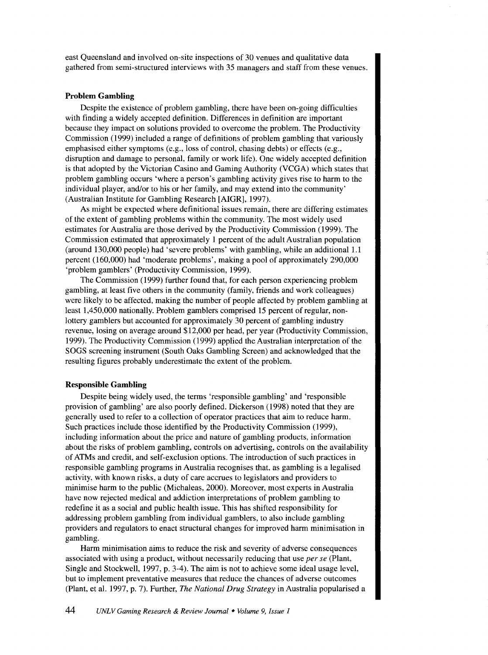east Queensland and involved on-site inspections of 30 venues and qualitative data gathered from semi-structured interviews with 35 managers and staff from these venues.

#### **Problem Gambling**

Despite the existence of problem gambling, there have been on-going difficulties with finding a widely accepted definition. Differences in definition are important because they impact on solutions provided to overcome the problem. The Productivity Commission (1999) included a range of definitions of problem gambling that variously emphasised either symptoms (e.g., loss of control, chasing debts) or effects (e.g., disruption and damage to personal, family or work life). One widely accepted definition is that adopted by the Victorian Casino and Gaming Authority (VCGA) which states that problem gambling occurs 'where a person's gambling activity gives rise to harm to the individual player, and/or to his or her family, and may extend into the community' (Australian Institute for Gambling Research [AIGR], 1997).

As might be expected where definitional issues remain, there are differing estimates of the extent of gambling problems within the community. The most widely used estimates for Australia are those derived by the Productivity Commission (1999). The Commission estimated that approximately 1 percent of the adult Australian population (around 130,000 people) had 'severe problems' with gambling, while an additional 1.1 percent (160,000) had 'moderate problems', making a pool of approximately 290,000 'problem gamblers' (Productivity Commission, 1999).

The Commission (1999) further found that, for each person experiencing problem gambling, at least five others in the community (family, friends and work colleagues) were likely to be affected, making the number of people affected by problem gambling at least 1,450,000 nationally. Problem gamblers comprised 15 percent of regular, nonlottery gamblers but accounted for approximately 30 percent of gambling industry revenue, losing on average around \$12,000 per head, per year (Productivity Commission, 1999). The Productivity Commission ( 1999) applied the Australian interpretation of the SOGS screening instrument (South Oaks Gambling Screen) and acknowledged that the resulting figures probably underestimate the extent of the problem.

#### **Responsible Gambling**

Despite being widely used, the terms 'responsible gambling' and 'responsible provision of gambling' are also poorly defined. Dickerson (1998) noted that they are generally used to refer to a collection of operator practices that aim to reduce harm. Such practices include those identified by the Productivity Commission (1999), including information about the price and nature of gambling products, information about the risks of problem gambling, controls on advertising, controls on the availability of ATMs and credit, and self-exclusion options. The introduction of such practices in responsible gambling programs in Australia recognises that. as gambling is a legalised activity, with known risks, a duty of care accrues to legislators and providers to minimise harm to the public (Michaleas, 2000). Moreover, most experts in Australia have now rejected medical and addiction interpretations of problem gambling to redefine it as a social and public health issue. This has shifted responsibility for addressing problem gambling from individual gamblers, to also include gambling providers and regulators to enact structural changes for improved harm minimisation in gambling.

Harm minimisation aims to reduce the risk and severity of adverse consequences associated with using a product, without necessarily reducing that use *per se* (Plant, Single and Stockwell, 1997, p. 3-4). The aim is not to achieve some ideal usage level, but to implement preventative measures that reduce the chances of adverse outcomes (Plant, et al. 1997, p. 7). Further, *The National Drug Strategy* in Australia popularised a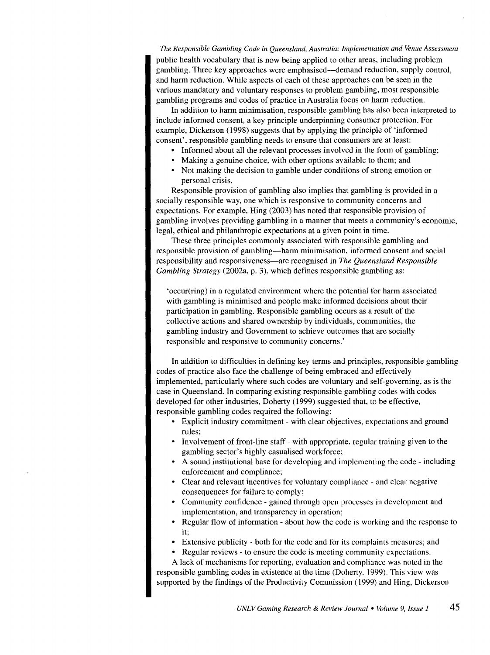*The Responsible Gambling Code in Queensland, Australia: Implementation and Venue Assessment*  public health vocabulary that is now being applied to other areas, including problem gambling. Three key approaches were emphasised-demand reduction, supply control, and harm reduction. While aspects of each of these approaches can be seen in the various mandatory and voluntary responses to problem gambling, most responsible gambling programs and codes of practice in Australia focus on harm reduction.

In addition to harm minimisation, responsible gambling has also been interpreted to include informed consent, a key principle underpinning consumer protection. For example, Dickerson (1998) suggests that by applying the principle of 'informed consent', responsible gambling needs to ensure that consumers are at least:

- Informed about all the relevant processes involved in the form of gambling;
- Making a genuine choice, with other options available to them; and
- Not making the decision to gamble under conditions of strong emotion or personal crisis.

Responsible provision of gambling also implies that gambling is provided in a socially responsible way, one which is responsive to community concerns and expectations. For example, Hing (2003) has noted that responsible provision of gambling involves providing gambling in a manner that meets a community's economic, legal, ethical and philanthropic expectations at a given point in time.

These three principles commonly associated with responsible gambling and responsible provision of gambling—harm minimisation, informed consent and social responsibility and responsiveness-are recognised in *The Queensland Responsible Gambling Strategy* (2002a, p. 3), which defines responsible gambling as:

'occur(ring) in a regulated environment where the potential for harm associated with gambling is minimised and people make informed decisions about their participation in gambling. Responsible gambling occurs as a result of the collective actions and shared ownership by individuals, communities, the gambling industry and Government to achieve outcomes that are socially responsible and responsive to community concerns.'

In addition to difficulties in defining key terms and principles, responsible gambling codes of practice also face the challenge of being embraced and effectively implemented, particularly where such codes are voluntary and self-governing, as is the case in Queensland. In comparing existing responsible gambling codes with codes developed for other industries, Doherty (1999) suggested that, to be effective, responsible gambling codes required the following:

- Explicit industry commitment with clear objectives, expectations and ground rules;
- Involvement of front-line staff with appropriate, regular training given to the gambling sector's highly casualised workforce;
- A sound institutional base for developing and implementing the code- including enforcement and compliance;
- Clear and relevant incentives for voluntary compliance- and clear negative consequences for failure to comply;
- Community confidence- gained through open processes in development and implementation, and transparency in operation;
- Regular flow of information about how the code is working and the response to it;
- Extensive publicity both for the code and for its complaints measures; and
- Regular reviews- to ensure the code is meeting community expectations.

A lack of mechanisms for reporting, evaluation and compliance was noted in the responsible gambling codes in existence at the time (Doherty. 1999). This view was supported by the findings of the Productivity Commission ( 1999) and Hing, Dickerson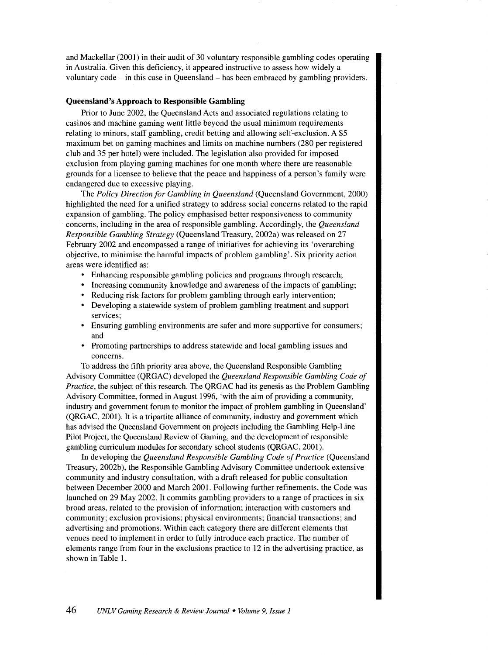and Mackellar (2001) in their audit of 30 voluntary responsible gambling codes operating in Australia. Given this deficiency, it appeared instructive to assess how widely a voluntary code- in this case in Queensland -has been embraced by gambling providers.

#### **Queensland's Approach to Responsible Gambling**

Prior to June 2002, the Queensland Acts and associated regulations relating to casinos and machine gaming went little beyond the usual minimum requirements relating to minors, staff gambling, credit betting and allowing self-exclusion. A \$5 maximum bet on gaming machines and limits on machine numbers (280 per registered club and 35 per hotel) were included. The legislation also provided for imposed exclusion from playing gaming machines for one month where there are reasonable grounds for a licensee to believe that the peace and happiness of a person's family were endangered due to excessive playing.

The *Policy Direction for Gambling in Queensland* (Queensland Government, 2000) highlighted the need for a unified strategy to address social concerns related to the rapid expansion of gambling. The policy emphasised better responsiveness to community concerns, including in the area of responsible gambling. Accordingly, the *Queensland Responsible Gambling Strategy* (Queensland Treasury, 2002a) was released on 27 February 2002 and encompassed a range of initiatives for achieving its 'overarching objective, to minimise the harmful impacts of problem gambling'. Six priority action areas were identified as:

- Enhancing responsible gambling policies and programs through research;
- Increasing community knowledge and awareness of the impacts of gambling;
- Reducing risk factors for problem gambling through early intervention;
- Developing a statewide system of problem gambling treatment and support services;
- Ensuring gambling environments are safer and more supportive for consumers; and
- Promoting partnerships to address statewide and local gambling issues and concerns.

To address the fifth priority area above, the Queensland Responsible Gambling Advisory Committee (QRGAC) developed the *Queensland Responsible Gambling Code of Practice*, the subject of this research. The QRGAC had its genesis as the Problem Gambling Advisory Committee, formed in August 1996, 'with the aim of providing a community, industry and government forum to monitor the impact of problem gambling in Queensland' (QRGAC, 2001). It is a tripartite alliance of community, industry and government which has advised the Queensland Government on projects including the Gambling Help-Line Pilot Project, the Queensland Review of Gaming, and the development of responsible gambling curriculum modules for secondary school students (QRGAC, 2001).

In developing the *Queensland Responsible Gambling Code of Practice* (Queensland Treasury, 2002b), the Responsible Gambling Advisory Committee undertook extensive community and industry consultation, with a draft released for public consultation between December 2000 and March 2001. Following further refinements, the Code was launched on 29 May 2002. It commits gambling providers to a range of practices in six broad areas, related to the provision of information; interaction with customers and community; exclusion provisions; physical environments; financial transactions; and advertising and promotions. Within each category there are different elements that venues need to implement in order to fully introduce each practice. The number of elements range from four in the exclusions practice to 12 in the advertising practice, as shown in Table 1.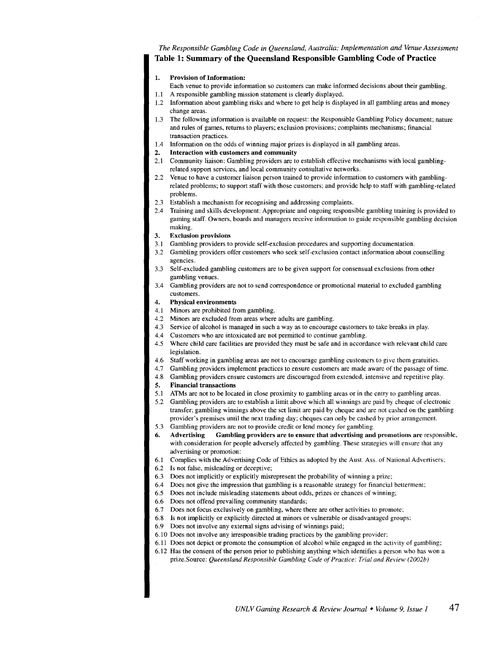# *The Responsible Gambling Code in Queensland, Australia: Implementation and Venue Assessment*  Table 1: Summary of the Queensland Responsible Gambling Code of Practice

#### 1. Provision of Information:

- Each venue to provide information so customers can make informed decisions about their gambling. 1.1 A responsible gambling mission statement is clearly displayed.
- 1.2 Information about gambling risks and where to get help is displayed in all gambling areas and money change areas.
- 1.3 The following information is available on request: the Responsible Gambling Policy document; nature and rules of games, returns to players; exclusion provisions; complaints mechanisms; financial transaction practices.
- 1.4 Information on the odds of winning major prizes is displayed in all gambling areas.
- 2. Interaction with customers and community
- 2.1 Community liaison: Gambling providers are to establish effective mechanisms with local gamblingrelated support services, and local community consultative networks.
- 2.2 Venue to have a customer liaison person trained to provide information to customers with gamblingrelated problems; to support staff with those customers; and provide help to staff with gambling-related problems.
- 2.3 Establish a mechanism for recognising and addressing complaints.
- 2.4 Training and skills development: Appropriate and ongoing responsible gambling training is provided to gaming staff. Owners, boards and managers receive information to guide responsible gambling decision making.
- 3. Exclusion provisions
- 3.1 Gambling providers to provide self-exclusion procedures and supporting documentation.
- 3.2 Gambling providers offer customers who seek self-exclusion contact information about counselling agencies.
- 3.3 Self-excluded gambling customers are to be given support for consensual exclusions from other gambling venues.
- 3.4 Gambling providers are not to send correspondence or promotional material to excluded gambling customers.
- 4. Physical environments
- 4.1 Minors are prohibited from gambling.
- 4.2 Minors are excluded from areas where adults are gambling.
- 4.3 Service of alcohol is managed in such a way as to encourage customers to take breaks in play.
- 4.4 Customers who are intoxicated are not permitted to continue gambling.
- 4.5 Where child care facilities are provided they must be safe and in accordance with relevant child care legislation.
- 4.6 Staff working in gambling areas are not to encourage gambling customers to give them gratuities.
- 4.7 Gambling providers implement practices to ensure customers are made aware of the passage of time.
- 4.8 Gambling providers ensure customers are discouraged from extended, intensive and repetitive play.
- 5. Financial transactions
- 5.1 ATMs are not to be located in close proximity to gambling areas or in the entry to gambling areas.
- 5.2 Gambling providers are to establish a limit above which all winnings are paid by cheque of electronic transfer; gambling winnings above the set limit are paid by cheque and are not cashed on the gambling provider's premises until the next trading day; cheques can only be cashed by prior arrangement.
- 5.3 Gambling providers are not to provide credit or lend money for gambling.
- 6. Advertising Gambling providers are to ensure that advertising and promotions are responsible, with consideration for people adversely affected by gambling. These strategies will ensure that any advertising or promotion:
- 6.1 Complies with the Advertising Code of Ethics as adopted by the Aust. Ass. of National Advertisers;
- 6.2 Is not false, misleading or deceptive;
- 6.3 Does not implicitly or explicitly misrepresent the probability of winning a prize;
- 6.4 Does not give the impression that gambling is a reasonable strategy for financial betterment;
- 6.5 Does not include misleading statements about odds, prizes or chances of winning;
- 6.6 Does not offend prevailing community standards;
- 6.7 Does not focus exclusively on gambling, where there are other activities to promote;
- 6.8 Is not implicitly or explicitly directed at minors or vulnerable or disadvantaged groups;
- 6.9 Does not involve any external signs advising of winnings paid;
- 6.10 Does not involve any irresponsible trading practices by the gambling provider;
- 6.11 Does not depict or promote the consumption of alcohol while engaged in the activity of gambling;
- 6.12 Has the consent of the person prior to publishing anything which identifies a person who has won a prize.Source: *Queensland Responsible Gambling Code of Practice: Trial and Review (2002b)*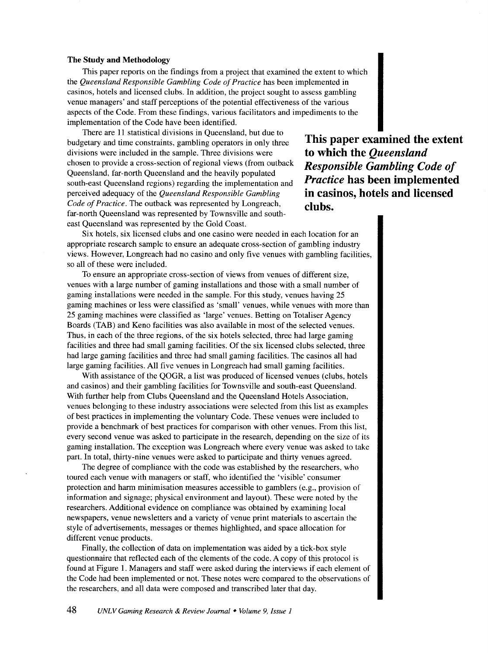#### **The Study and Methodology**

This paper reports on the findings from a project that examined the extent to which the *Queensland Responsible Gambling Code of Practice* has been implemented in casinos, hotels and licensed clubs. In addition, the project sought to assess gambling venue managers' and staff perceptions of the potential effectiveness of the various aspects of the Code. From these findings, various facilitators and impediments to the implementation of the Code have been identified.

There are 11 statistical divisions in Queensland, but due to budgetary and time constraints, gambling operators in only three divisions were included in the sample. Three divisions were chosen to provide a cross-section of regional views (from outback Queensland, far-north Queensland and the heavily populated south-east Queensland regions) regarding the implementation and perceived adequacy of the *Queensland Responsible Gambling Code of Practice.* The outback was represented by Longreach, far-north Queensland was represented by Townsville and southeast Queensland was represented by the Gold Coast.

**This paper examined the extent to which the** *Queensland Responsible Gambling Code of Practice* **has been implemented in casinos, hotels and licensed clubs.** 

Six hotels, six licensed clubs and one casino were needed in each location for an appropriate research sample to ensure an adequate cross-section of gambling industry views. However, Longreach had no casino and only five venues with gambling facilities, so all of these were included.

To ensure an appropriate cross-section of views from venues of different size, venues with a large number of gaming installations and those with a small number of gaming installations were needed in the sample. For this study, venues having 25 gaming machines or less were classified as 'small' venues, while venues with more than 25 gaming machines were classified as 'large' venues. Betting on Totaliser Agency Boards (TAB) and Keno facilities was also available in most of the selected venues. Thus, in each of the three regions, of the six hotels selected, three had large gaming facilities and three had small gaming facilities. Of the six licensed clubs selected, three had large gaming facilities and three had small gaming facilities. The casinos all had large gaming facilities. All five venues in Longreach had small gaming facilities.

With assistance of the QOGR, a list was produced of licensed venues (clubs, hotels and casinos) and their gambling facilities for Townsville and south-east Queensland. With further help from Clubs Queensland and the Queensland Hotels Association, venues belonging to these industry associations were selected from this list as examples of best practices in implementing the voluntary Code. These venues were included to provide a benchmark of best practices for comparison with other venues. From this list, every second venue was asked to participate in the research, depending on the size of its gaming installation. The exception was Longreach where every venue was asked to take part. In total, thirty-nine venues were asked to participate and thirty venues agreed.

The degree of compliance with the code was established by the researchers, who toured each venue with managers or staff, who identified the 'visible' consumer protection and harm minimisation measures accessible to gamblers (e.g., provision of information and signage; physical environment and layout). These were noted by the researchers. Additional evidence on compliance was obtained by examining local newspapers, venue newsletters and a variety of venue print materials to ascertain the style of advertisements, messages or themes highlighted, and space allocation for different venue products.

Finally, the collection of data on implementation was aided by a tick-box style questionnaire that reflected each of the elements of the code. A copy of this protocol is found at Figure 1. Managers and staff were asked during the interviews if each element of the Code had been implemented or not. These notes were compared to the observations of the researchers, and all data were composed and transcribed later that day.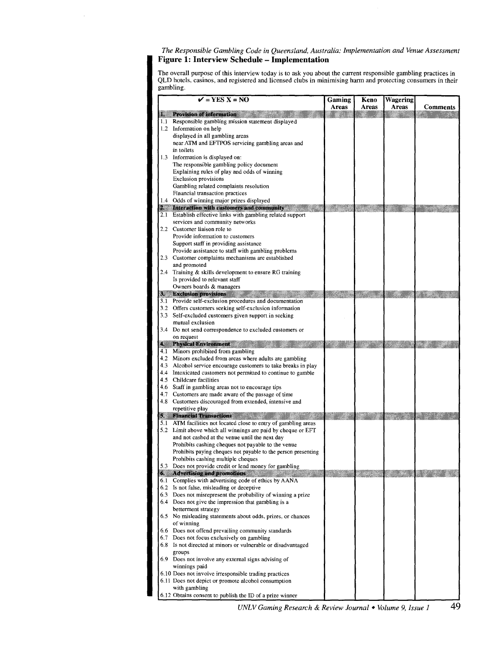#### *The Responsible Gambling Code in Queensland, Australia: Implementation and Venue Assessment*  **Figure 1: Interview Schedule- Implementation**

The overall purpose ofthis interview today is to ask you about the current responsible gambling practices in QLD hotels, casinos, and registered and licensed clubs in minimising harm and protecting consumers in their gambling.

|           | $\mathbf{V}$ = YES X = NO                                                                                                  | Gaming | Keno  | <b>Wagering</b> |          |
|-----------|----------------------------------------------------------------------------------------------------------------------------|--------|-------|-----------------|----------|
|           |                                                                                                                            | Areas  | Areas | Areas           | Comments |
| з.<br>1.1 | <b>Provision of information</b><br>Responsible gambling mission statement displayed                                        |        |       |                 |          |
|           | 1.2 Information on help                                                                                                    |        |       |                 |          |
|           | displayed in all gambling areas                                                                                            |        |       |                 |          |
|           | near ATM and EFTPOS servicing gambling areas and                                                                           |        |       |                 |          |
|           | in toilets                                                                                                                 |        |       |                 |          |
| 1.3       | Information is displayed on:<br>The responsible gambling policy document                                                   |        |       |                 |          |
|           | Explaining rules of play and odds of winning                                                                               |        |       |                 |          |
|           | <b>Exclusion provisions</b>                                                                                                |        |       |                 |          |
|           | Gambling related complaints resolution                                                                                     |        |       |                 |          |
|           | Financial transaction practices                                                                                            |        |       |                 |          |
|           | 1.4 Odds of winning major prizes displayed                                                                                 |        |       |                 |          |
|           | 2. Interaction with customers and community<br>2.1 Establish effective links with gambling related support                 |        |       |                 |          |
|           | services and community networks                                                                                            |        |       |                 |          |
|           | 2.2 Customer liaison role to                                                                                               |        |       |                 |          |
|           | Provide information to customers                                                                                           |        |       |                 |          |
|           | Support staff in providing assistance                                                                                      |        |       |                 |          |
|           | Provide assistance to staff with gambling problems                                                                         |        |       |                 |          |
|           | 2.3 Customer complaints mechanisms are established<br>and promoted                                                         |        |       |                 |          |
|           | 2.4 Training & skills development to ensure RG training                                                                    |        |       |                 |          |
|           | Is provided to relevant staff                                                                                              |        |       |                 |          |
|           | Owners boards & managers                                                                                                   |        |       |                 |          |
| S.        | <b>Exclusion provisions</b>                                                                                                |        |       |                 |          |
|           | 3.1 Provide self-exclusion procedures and documentation                                                                    |        |       |                 |          |
|           | 3.2 Offers customers seeking self-exclusion information<br>3.3 Self-excluded customers given support in seeking            |        |       |                 |          |
|           | mutual exclusion                                                                                                           |        |       |                 |          |
|           | 3.4 Do not send correspondence to excluded customers or                                                                    |        |       |                 |          |
|           | on request                                                                                                                 |        |       |                 |          |
| A.        | <b>Physical Environment</b>                                                                                                |        |       |                 |          |
|           | 4.1 Minors prohibited from gambling                                                                                        |        |       |                 |          |
|           | 4.2 Minors excluded from areas where adults are gambling<br>4.3 Alcohol service encourage customers to take breaks in play |        |       |                 |          |
|           | 4.4 Intoxicated customers not permitted to continue to gamble                                                              |        |       |                 |          |
|           | 4.5 Childcare facilities                                                                                                   |        |       |                 |          |
|           | 4.6 Staff in gambling areas not to encourage tips                                                                          |        |       |                 |          |
|           | 4.7 Customers are made aware of the passage of time                                                                        |        |       |                 |          |
|           | 4.8 Customers discouraged from extended, intensive and                                                                     |        |       |                 |          |
|           | repetitive play<br><b>Financial Transactions</b>                                                                           |        |       |                 |          |
|           | 5.1 ATM facilities not located close to entry of gambling areas                                                            |        |       |                 |          |
|           | 5.2 Limit above which all winnings are paid by cheque or EFT                                                               |        |       |                 |          |
|           | and not cashed at the venue until the next day                                                                             |        |       |                 |          |
|           | Prohibits cashing cheques not payable to the venue                                                                         |        |       |                 |          |
|           | Prohibits paying cheques not payable to the person presenting<br>Prohibits cashing multiple cheques                        |        |       |                 |          |
|           | 3 Does not provide credit or lend money for gambling                                                                       |        |       |                 |          |
| 6,        | <b>Advertising and promotions</b>                                                                                          |        |       |                 |          |
|           | 6.1 Complies with advertising code of ethics by AANA                                                                       |        |       |                 |          |
|           | 6.2 Is not false, misleading or deceptive                                                                                  |        |       |                 |          |
|           | 6.3 Does not misrepresent the probability of winning a prize                                                               |        |       |                 |          |
|           | 6.4 Does not give the impression that gambling is a                                                                        |        |       |                 |          |
|           | betterment strategy<br>6.5 No misleading statements about odds, prizes, or chances                                         |        |       |                 |          |
|           | of winning                                                                                                                 |        |       |                 |          |
|           | 6.6 Does not offend prevailing community standards                                                                         |        |       |                 |          |
|           | 6.7 Does not focus exclusively on gambling                                                                                 |        |       |                 |          |
|           | 6.8 Is not directed at minors or vulnerable or disadvantaged                                                               |        |       |                 |          |
|           | groups                                                                                                                     |        |       |                 |          |
|           | 6.9 Does not involve any external signs advising of                                                                        |        |       |                 |          |
|           | winnings paid<br>6.10 Does not involve irresponsible trading practices                                                     |        |       |                 |          |
|           | 6.11 Does not depict or promote alcohol consumption                                                                        |        |       |                 |          |
|           | with gambling                                                                                                              |        |       |                 |          |
|           | 6.12 Obtains consent to publish the ID of a prize winner                                                                   |        |       |                 |          |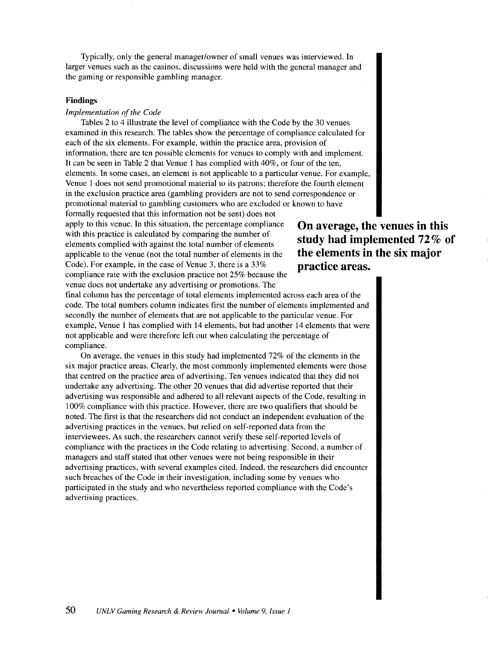Typically, only the general manager/owner of small venues was interviewed. In larger venues such as the casinos, discussions were held with the general manager and the gaming or responsible gambling manager.

#### **Findings**

# *Implementation of the Code*

Tables 2 to 4 illustrate the level of compliance with the Code by the 30 venues examined in this research. The tables show the percentage of compliance calculated for each of the six elements. For example, within the practice area, provision of information, there are ten possible elements for venues to comply with and implement. It can be seen in Table 2 that Venue 1 has complied with 40%, or four of the ten, elements. In some cases, an element is not applicable to a particular venue. For example, Venue 1·does not send promotional material to its patrons; therefore the fourth element in the exclusion practice area (gambling providers are not to send correspondence or promotional material to gambling customers who are excluded or known to have formally requested that this information not be sent) does not

apply to this venue. In this situation, the percentage compliance with this practice is calculated by comparing the number of elements complied with against the total number of elements applicable to the venue (not the total number of elements in the Code). For example, in the case of Venue 3, there is a 33% compliance rate with the exclusion practice not 25% because the venue does not undertake any advertising or promotions. The

final column has the percentage of total elements implemented across each area of the code. The total numbers column indicates first the number of elements implemented and secondly the number of elements that are not applicable to the particular venue. For example, Venue 1 has complied with 14 elements, but had another 14 elements that were not applicable and were therefore left out when calculating the percentage of compliance.

On average, the venues in this study had implemented 72% of the elements in the six major practice areas. Clearly, the most commonly implemented elements were those that centred on the practice area of advertising. Ten venues indicated that they did not undertake any advertising. The other 20 venues that did advertise reported that their advertising was responsible and adhered to all relevant aspects of the Code, resulting in 100% compliance with this practice. However, there are two qualifiers that should be noted. The first is that the researchers did not conduct an independent evaluation of the advertising practices in the venues, but relied on self-reported data from the interviewees. As such, the researchers cannot verify these self-reported levels of compliance with the practices in the Code relating to advertising. Second, a number of managers and staff stated that other venues were not being responsible in their advertising practices, with several examples cited. Indeed, the researchers did encounter such breaches of the Code in their investigation, including some by venues who participated in the study and who nevertheless reported compliance with the Code's advertising practices.

# **On average, the venues in this study had implemented 72% of the elements in the six major practice areas.**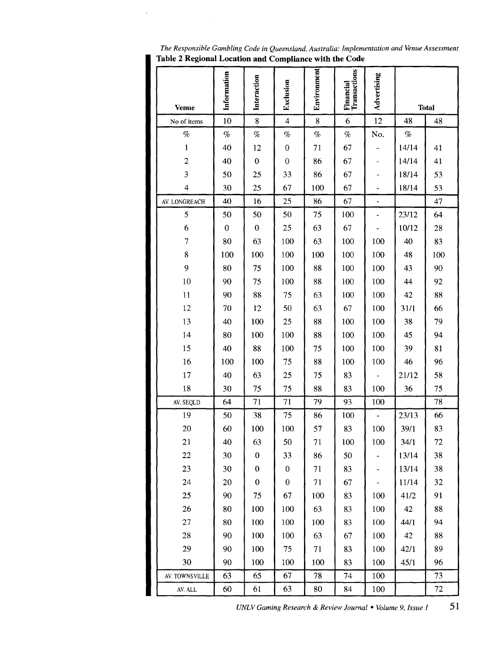| Table 2 Regional Location and Compliance with the Code |                  |                  |                  |             |                           |                |       |              |
|--------------------------------------------------------|------------------|------------------|------------------|-------------|---------------------------|----------------|-------|--------------|
| <b>Venue</b>                                           | Information      | Interaction      | Exclusion        | Environment | Financial<br>Transactions | Advertising    |       | <b>Total</b> |
| No of items                                            | 10               | $\bf 8$          | $\overline{4}$   | 8           | 6                         | 12             | 48    | 48           |
| $\%$                                                   | $\%$             | $\%$             | $\%$             | $\%$        | $\%$                      | No.            | $\%$  |              |
| $\mathbf{1}$                                           | 40               | 12               | $\boldsymbol{0}$ | 71          | 67                        |                | 14/14 | 41           |
| $\boldsymbol{2}$                                       | 40               | $\boldsymbol{0}$ | $\mathbf 0$      | 86          | 67                        |                | 14/14 | 41           |
| 3                                                      | 50               | 25               | 33               | 86          | 67                        |                | 18/14 | 53           |
| $\overline{\mathcal{A}}$                               | 30               | 25               | 67               | 100         | 67                        |                | 18/14 | 53           |
| AV. LONGREACH                                          | 40               | 16               | 25               | 86          | 67                        | $\blacksquare$ |       | 47           |
| 5                                                      | 50               | 50               | 50               | 75          | 100                       |                | 23/12 | 64           |
| 6                                                      | $\boldsymbol{0}$ | $\boldsymbol{0}$ | 25               | 63          | 67                        |                | 10/12 | 28           |
| 7                                                      | 80               | 63               | 100              | 63          | 100                       | 100            | 40    | 83           |
| 8                                                      | 100              | 100              | 100              | 100         | 100                       | 100            | 48    | 100          |
| 9                                                      | 80               | 75               | 100              | 88          | 100                       | 100            | 43    | 90           |
| 10                                                     | 90               | 75               | 100              | 88          | 100                       | 100            | 44    | 92           |
| 11                                                     | 90               | 88               | 75               | 63          | 100                       | 100            | 42    | 88           |
| 12                                                     | 70               | 12               | 50               | 63          | 67                        | 100            | 31/1  | 66           |
| 13                                                     | 40               | 100              | 25               | 88          | 100                       | 100            | 38    | 79           |
| 14                                                     | 80               | 100              | 100              | 88          | 100                       | 100            | 45    | 94           |
| 15                                                     | 40               | 88               | 100              | 75          | 100                       | 100            | 39    | 81           |
| 16                                                     | 100              | 100              | 75               | 88          | 100                       | 100            | 46    | 96           |
| 17                                                     | 40               | 63               | 25               | 75          | 83                        |                | 21/12 | 58           |
| 18                                                     | 30               | 75               | 75               | 88          | 83                        | 100            | 36    | 75           |
| AV. SEQLD                                              | 64               | 71               | 71               | 79          | 93                        | 100            |       | 78           |
| 19                                                     | 50               | 38               | 75               | 86          | 100                       |                | 23/13 | 66           |
| 20                                                     | 60               | 100              | 100              | 57          | 83                        | 100            | 39/1  | 83           |
| 21                                                     | 40               | 63               | 50               | 71          | 100                       | 100            | 34/1  | 72           |
| 22                                                     | 30               | $\boldsymbol{0}$ | 33               | 86          | 50                        |                | 13/14 | 38           |
| 23                                                     | 30               | $\mathbf{0}$     | $\mathbf{0}$     | 71          | 83                        |                | 13/14 | 38           |
| 24                                                     | 20               | $\boldsymbol{0}$ | $\boldsymbol{0}$ | 71          | 67                        |                | 11/14 | 32           |
| 25                                                     | 90               | 75               | 67               | 100         | 83                        | 100            | 41/2  | 91           |
| 26                                                     | 80               | 100              | 100              | 63          | 83                        | 100            | 42    | 88           |
| 27                                                     | 80               | 100              | 100              | 100         | 83                        | 100            | 44/1  | 94           |
| 28                                                     | 90               | 100              | 100              | 63          | 67                        | 100            | 42    | 88           |
| 29                                                     | 90               | 100              | 75               | 71          | 83                        | 100            | 42/1  | 89           |
| 30                                                     | 90               | 100              | 100              | 100         | 83                        | 100            | 45/1  | 96           |
| AV. TOWNSVILLE                                         | 63               | 65               | 67               | 78          | 74                        | 100            |       | 73           |
| AV. ALL                                                | 60               | 61               | 63               | 80          | 84                        | 100            |       | 72           |

*UNLV Gaming Research* & *Review Journal* • *Volume 9, Issue 1* **51**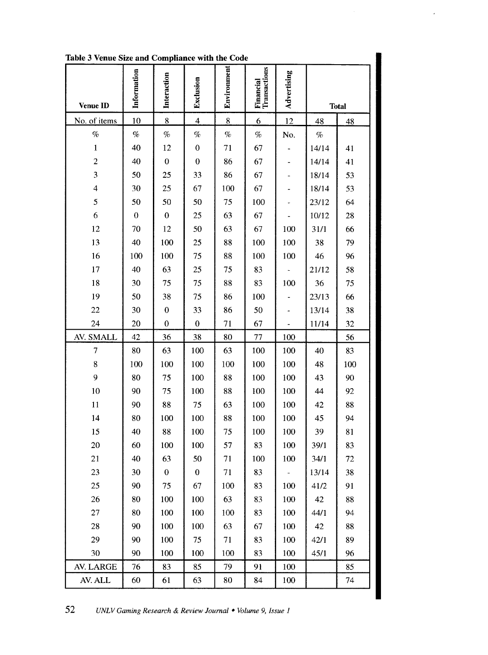| Table 3 Venue Size and Compliance with the Code |                  |                  |                          |             |                                  |             |       |              |
|-------------------------------------------------|------------------|------------------|--------------------------|-------------|----------------------------------|-------------|-------|--------------|
| <b>Venue ID</b>                                 | Information      | Interaction      | Exclusion                | Environment | <b>Financial</b><br>Transactions | Advertising |       | <b>Total</b> |
| No. of items                                    | 10               | 8                | $\overline{\mathcal{A}}$ | $\bf 8$     | $6 \overline{}$                  | 12          | 48    | 48           |
| $\%$                                            | $\%$             | $\%$             | $\%$                     | $\%$        | $\%$                             | No.         | $\%$  |              |
| $\mathbf 1$                                     | 40               | 12               | $\boldsymbol{0}$         | 71          | 67                               |             | 14/14 | 41           |
| $\overline{c}$                                  | 40               | $\boldsymbol{0}$ | $\boldsymbol{0}$         | 86          | 67                               |             | 14/14 | 41           |
| 3                                               | 50               | 25               | 33                       | 86          | 67                               |             | 18/14 | 53           |
| $\overline{\mathcal{L}}$                        | 30               | 25               | 67                       | 100         | 67                               |             | 18/14 | 53           |
| 5                                               | 50               | 50               | 50                       | 75          | 100                              |             | 23/12 | 64           |
| 6                                               | $\boldsymbol{0}$ | $\bf{0}$         | 25                       | 63          | 67                               |             | 10/12 | 28           |
| 12                                              | 70               | 12               | 50                       | 63          | 67                               | 100         | 31/1  | 66           |
| 13                                              | 40               | 100              | 25                       | 88          | 100                              | 100         | 38    | 79           |
| 16                                              | 100              | 100              | 75                       | 88          | 100                              | 100         | 46    | 96           |
| 17                                              | 40               | 63               | 25                       | 75          | 83                               |             | 21/12 | 58           |
| 18                                              | 30               | 75               | 75                       | 88          | 83                               | 100         | 36    | 75           |
| 19                                              | 50               | 38               | 75                       | 86          | 100                              |             | 23/13 | 66           |
| 22                                              | 30               | $\bf{0}$         | 33                       | 86          | 50                               |             | 13/14 | 38           |
| 24                                              | 20               | $\boldsymbol{0}$ | $\boldsymbol{0}$         | 71          | 67                               |             | 11/14 | 32           |
| AV. SMALL                                       | 42               | 36               | 38                       | 80          | 77                               | 100         |       | 56           |
| $\tau$                                          | 80               | 63               | 100                      | 63          | 100                              | 100         | 40    | 83           |
| 8                                               | 100              | 100              | 100                      | 100         | 100                              | 100         | 48    | 100          |
| 9                                               | 80               | 75               | 100                      | 88          | 100                              | 100         | 43    | 90           |
| 10                                              | 90               | 75               | 100                      | 88          | 100                              | 100         | 44    | 92           |
| 11                                              | 90               | 88               | 75                       | 63          | 100                              | 100         | 42    | 88           |
| 14                                              | 80               | 100              | 100                      | 88          | 100                              | 100         | 45    | 94           |
| 15                                              | 40               | 88               | 100                      | 75          | 100                              | 100         | 39    | 81           |
| 20                                              | 60               | 100              | 100                      | 57          | 83                               | 100         | 39/1  | 83           |
| 21                                              | 40               | 63               | 50                       | 71          | 100                              | 100         | 34/1  | $72\,$       |
| 23                                              | 30               | $\boldsymbol{0}$ | $\pmb{0}$                | 71          | 83                               |             | 13/14 | 38           |
| 25                                              | 90               | 75               | 67                       | 100         | 83                               | 100         | 41/2  | 91           |
| 26                                              | 80               | 100              | 100                      | 63          | 83                               | 100         | 42    | 88           |
| 27                                              | 80               | 100              | 100                      | 100         | 83                               | 100         | 44/1  | 94           |
| 28                                              | 90               | 100              | 100                      | 63          | 67                               | 100         | 42    | 88           |
| 29                                              | 90               | 100              | 75                       | 71          | 83                               | 100         | 42/1  | 89           |
| 30                                              | 90               | 100              | 100                      | 100         | 83                               | 100         | 45/1  | 96           |
| AV. LARGE                                       | 76               | 83               | 85                       | 79          | 91                               | 100         |       | 85           |
| AV. ALL                                         | 60               | 61               | 63                       | 80          | 84                               | 100         |       | 74           |

 $\overline{\phantom{a}}$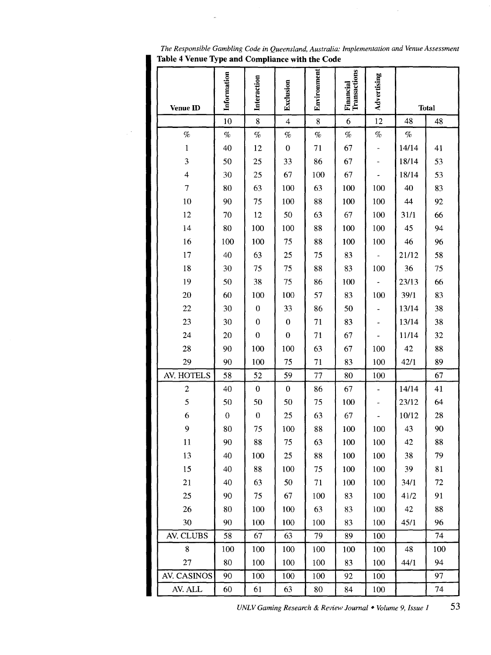| Table 4 Venue Type and Compliance with the Code |                  |                  |                  |             |                           |             |       |              |
|-------------------------------------------------|------------------|------------------|------------------|-------------|---------------------------|-------------|-------|--------------|
| <b>Venue ID</b>                                 | Information      | Interaction      | Exclusion        | Environment | Financial<br>Transactions | Advertising |       | <b>Total</b> |
|                                                 | 10               | 8                | $\overline{4}$   | 8           | $\boldsymbol{6}$          | 12          | 48    | 48           |
| $\%$                                            | $\%$             | $\%$             | $\%$             | $\%$        | $\%$                      | $\%$        | $\%$  |              |
| $\mathbf 1$                                     | 40               | 12               | $\boldsymbol{0}$ | 71          | 67                        | -           | 14/14 | 41           |
| 3                                               | 50               | 25               | 33               | 86          | 67                        |             | 18/14 | 53           |
| $\overline{4}$                                  | 30               | 25               | 67               | 100         | 67                        |             | 18/14 | 53           |
| $\overline{7}$                                  | 80               | 63               | 100              | 63          | 100                       | 100         | 40    | 83           |
| 10                                              | 90               | 75               | 100              | 88          | 100                       | 100         | 44    | 92           |
| 12                                              | 70               | 12               | 50               | 63          | 67                        | 100         | 31/1  | 66           |
| 14                                              | 80               | 100              | 100              | 88          | 100                       | 100         | 45    | 94           |
| 16                                              | 100              | 100              | 75               | 88          | 100                       | 100         | 46    | 96           |
| 17                                              | 40               | 63               | 25               | 75          | 83                        |             | 21/12 | 58           |
| 18                                              | 30               | 75               | 75               | 88          | 83                        | 100         | 36    | 75           |
| 19                                              | 50               | 38               | 75               | 86          | 100                       |             | 23/13 | 66           |
| 20                                              | 60               | 100              | 100              | 57          | 83                        | 100         | 39/1  | 83           |
| 22                                              | 30               | $\boldsymbol{0}$ | 33               | 86          | 50                        |             | 13/14 | 38           |
| 23                                              | 30               | $\boldsymbol{0}$ | $\boldsymbol{0}$ | 71          | 83                        |             | 13/14 | 38           |
| 24                                              | 20               | $\boldsymbol{0}$ | $\boldsymbol{0}$ | 71          | 67                        |             | 11/14 | 32           |
| 28                                              | 90               | 100              | 100              | 63          | 67                        | 100         | 42    | 88           |
| 29                                              | 90               | 100              | 75               | 71          | 83                        | 100         | 42/1  | 89           |
| AV. HOTELS                                      | 58               | 52               | 59               | 77          | 80                        | 100         |       | 67           |
| $\overline{c}$                                  | 40               | $\boldsymbol{0}$ | $\boldsymbol{0}$ | 86          | 67                        |             | 14/14 | 41           |
| 5                                               | 50               | 50               | 50               | 75          | 100                       |             | 23/12 | 64           |
| 6                                               | $\boldsymbol{0}$ | $\boldsymbol{0}$ | 25               | 63          | 67                        |             | 10/12 | 28           |
| 9                                               | 80               | 75               | 100              | 88          | 100                       | 100         | 43    | 90           |
| 11                                              | 90               | 88               | 75               | 63          | 100                       | 100         | 42    | 88           |
| 13                                              | 40               | 100              | 25               | 88          | 100                       | 100         | 38    | 79           |
| 15                                              | 40               | 88               | 100              | 75          | 100                       | 100         | 39    | 81           |
| 21                                              | 40               | 63               | 50               | 71          | 100                       | 100         | 34/1  | 72           |
| 25                                              | 90               | 75               | 67               | 100         | 83                        | 100         | 41/2  | 91           |
| 26                                              | 80               | 100              | 100              | 63          | 83                        | 100         | 42    | 88           |
| 30                                              | 90               | 100              | 100              | 100         | 83                        | 100         | 45/1  | 96           |
| AV. CLUBS                                       | 58               | 67               | 63               | 79          | 89                        | 100         |       | 74           |
| 8                                               | 100              | 100              | 100              | 100         | 100                       | 100         | 48    | 100          |
| 27                                              | 80               | 100              | 100              | 100         | 83                        | 100         | 44/1  | 94           |
| AV. CASINOS                                     | 90               | 100              | 100              | 100         | 92                        | 100         |       | 97           |
| AV. ALL                                         | 60               | 61               | 63               | 80          | 84                        | 100         |       | 74           |

 $\mathcal{L}$ 

*UNLV Gaming Research* & *Review Journal* • *Volume 9, Issue I* 53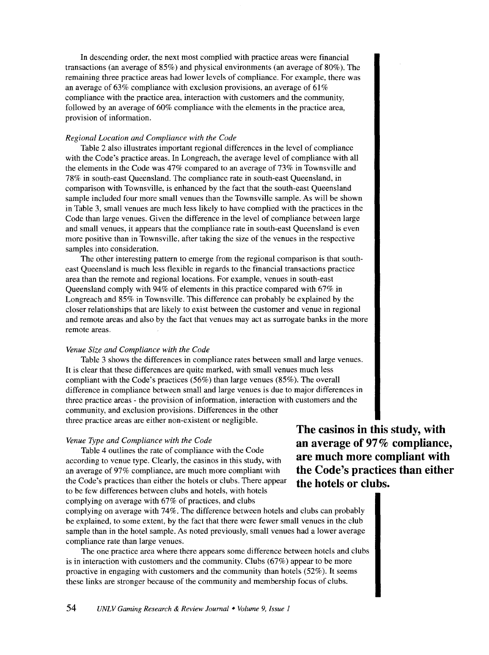In descending order, the next most complied with practice areas were financial transactions (an average of 85%) and physical environments (an average of 80%). The remaining three practice areas had lower levels of compliance. For example, there was an average of 63% compliance with exclusion provisions, an average of 61% compliance with the practice area, interaction with customers and the community, followed by an average of 60% compliance with the elements in the practice area, provision of information.

#### *Regional Location and Compliance with the Code*

Table 2 also illustrates important regional differences in the level of compliance with the Code's practice areas. In Longreach, the average level of compliance with all the elements in the Code was 47% compared to an average of 73% in Townsville and 78% in south-east Queensland. The compliance rate in south-east Queensland, in comparison with Townsville, is enhanced by the fact that the south-east Queensland sample included four more small venues than the Townsville sample. As will be shown in Table 3, small venues are much less likely to have complied with the practices in the Code than large venues. Given the difference in the level of compliance between large and small venues, it appears that the compliance rate in south-east Queensland is even more positive than in Townsville, after taking the size of the venues in the respective samples into consideration.

The other interesting pattern to emerge from the regional comparison is that southeast Queensland is much less flexible in regards to the financial transactions practice area than the remote and regional locations. For example, venues in south-east Queensland comply with 94% of elements in this practice compared with 67% in Longreach and 85% in Townsville. This difference can probably be explained by the closer relationships that are likely to exist between the customer and venue in regional and remote areas and also by the fact that venues may act as surrogate banks in the more remote areas.

#### *Venue Size and Compliance with the Code*

Table 3 shows the differences in compliance rates between small and large venues. It is clear that these differences are quite marked, with small venues much less compliant with the Code's practices (56%) than large venues (85%). The overall difference in compliance between small and large venues is due to major differences in three practice areas - the provision of information, interaction with customers and the community, and exclusion provisions. Differences in the other three practice areas are either non-existent or negligible.

#### *Venue Type and Compliance with the Code*

Table 4 outlines the rate of compliance with the Code according to venue type. Clearly, the casinos in this study, with an average of 97% compliance, are much more compliant with the Code's practices than either the hotels or clubs. There appear to be few differences between clubs and hotels, with hotels complying on average with 67% of practices, and clubs

complying on average with 74%. The difference between hotels and clubs can probably be explained, to some extent, by the fact that there were fewer small venues in the club sample than in the hotel sample. As noted previously, small venues had a lower average compliance rate than large venues.

The one practice area where there appears some difference between hotels and clubs is in interaction with customers and the community. Clubs (67%) appear to be more proactive in engaging with customers and the community than hotels (52%). It seems these links are stronger because of the community and membership focus of clubs.

**The casinos in this study, with an average of 97% compliance, are much more compliant with the Code's practices than either the hotels or clubs.**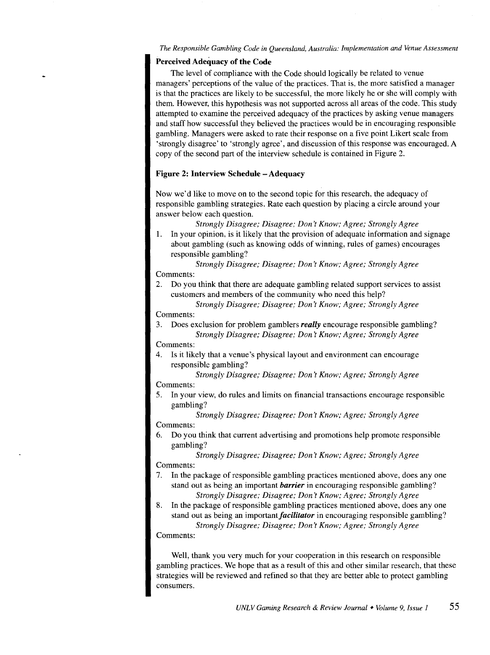# **Perceived Adequacy of the Code**

The level of compliance with the Code should logically be related to venue managers' perceptions of the value of the practices. That is, the more satisfied a manager is that the practices are likely to be successful, the more likely he or she will comply with them. However, this hypothesis was not supported across all areas of the code. This study attempted to examine the perceived adequacy of the practices by asking venue managers and staff how successful they believed the practices would be in encouraging responsible gambling. Managers were asked to rate their response on a five point Likert scale from 'strongly disagree' to 'strongly agree', and discussion of this response was encouraged. A copy of the second part of the interview schedule is contained in Figure 2.

# **Figure 2: Interview Schedule -Adequacy**

Now we'd like to move on to the second topic for this research, the adequacy of responsible gambling strategies. Rate each question by placing a circle around your answer below each question.

*Strongly Disagree; Disagree; Don't Know; Agree; Strongly Agree* 

**1.** In your opinion, is it likely that the provision of adequate information and signage about gambling (such as knowing odds of winning, rules of games) encourages responsible gambling?

#### *Strongly Disagree; Disagree; Don't Know; Agree; Strongly Agree*  Comments:

2. Do you think that there are adequate gambling related support services to assist customers and members of the community who need this help?

*Strongly Disagree; Disagree; Don't Know; Agree; Strongly Agree*  Comments:

3. Does exclusion for problem gamblers *really* encourage responsible gambling? *Strongly Disagree; Disagree; Don't Know; Agree; Strongly Agree* 

Comments:

4. Is it likely that a venue's physical layout and environment can encourage responsible gambling?

*Strongly Disagree; Disagree; Don't Know; Agree; Strongly Agree* 

Comments:

5. In your view, do rules and limits on financial transactions encourage responsible gambling?

*Strongly Disagree; Disagree; Don't Know; Agree; Strongly Agree*  Comments:

- 6. Do you think that current advertising and promotions help promote responsible gambling?
	- *Strongly Disagree; Disagree; Don't Know; Agree; Strongly Agree*

Comments:

- 7. In the package of responsible gambling practices mentioned above, does any one stand out as being an important *barrier* in encouraging responsible gambling? *Strongly Disagree; Disagree; Don't Know; Agree; Strongly Agree*
- 8. In the package of responsible gambling practices mentioned above, does any one stand out as being an important *facilitator* in encouraging responsible gambling? *Strongly Disagree; Disagree; Don't Know; Agree; Strongly Agree*

Comments:

Well, thank you very much for your cooperation in this research on responsible gambling practices. We hope that as a result of this and other similar research, that these strategies will be reviewed and refined so that they are better able to protect gambling consumers.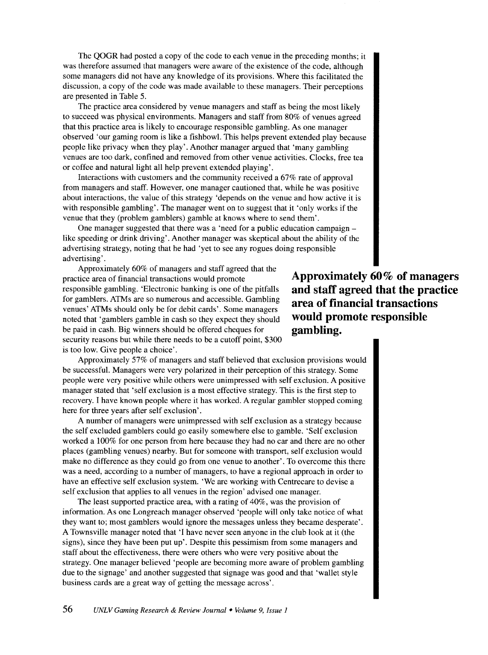The QOGR had posted a copy of the code to each venue in the preceding months; it was therefore assumed that managers were aware of the existence of the code, although some managers did not have any knowledge of its provisions. Where this facilitated the discussion, a copy of the code was made available to these managers. Their perceptions are presented in Table 5.

The practice area considered by venue managers and staff as being the most likely to succeed was physical environments. Managers and staff from 80% of venues agreed that this practice area is likely to encourage responsible gambling. As one manager observed 'our gaming room is like a fishbowl. This helps prevent extended play because people like privacy when they play'. Another manager argued that 'many gambling venues are too dark, confined and removed from other venue activities. Clocks, free tea or coffee and natural light all help prevent extended playing'.

Interactions with customers and the community received a 67% rate of approval from managers and staff. However, one manager cautioned that, while he was positive about interactions, the value of this strategy 'depends on the venue and how active it is with responsible gambling'. The manager went on to suggest that it 'only works if the venue that they (problem gamblers) gamble at knows where to send them'.

One manager suggested that there was a 'need for a public education campaign like speeding or drink driving'. Another manager was skeptical about the ability of the advertising strategy, noting that he had 'yet to see any rogues doing responsible advertising'.

Approximately 60% of managers and staff agreed that the practice area of financial transactions would promote responsible gambling. 'Electronic banking is one of the pitfalls for gamblers. ATMs are so numerous and accessible. Gambling venues' ATMs should only be for debit cards'. Some managers noted that 'gamblers gamble in cash so they expect they should be paid in cash. Big winners should be offered cheques for security reasons but while there needs to be a cutoff point, \$300 is too low. Give people a choice'.

**Approximately 60% of managers and staff agreed that the practice area of financial transactions would promote responsible gambling.** 

Approximately 57% of managers and staff believed that exclusion provisions would be successful. Managers were very polarized in their perception of this strategy. Some people were very positive while others were unimpressed with self exclusion. A positive manager stated that 'self exclusion is a most effective strategy. This is the first step to recovery. I have known people where it has worked. A regular gambler stopped coming here for three years after self exclusion'.

A number of managers were unimpressed with self exclusion as a strategy because the self excluded gamblers could go easily somewhere else to gamble. 'Self exclusion worked a 100% for one person from here because they had no car and there are no other places (gambling venues) nearby. But for someone with transport, self exclusion would make no difference as they could go from one venue to another'. To overcome this there was a need, according to a number of managers, to have a regional approach in order to have an effective self exclusion system. 'We are working with Centrecare to devise a self exclusion that applies to all venues in the region' advised one manager.

The least supported practice area, with a rating of 40%, was the provision of information. As one Longreach manager observed 'people will only take notice of what they want to; most gamblers would ignore the messages unless they became desperate'. A Townsville manager noted that 'I have never seen anyone in the club look at it (the signs), since they have been put up'. Despite this pessimism from some managers and staff about the effectiveness, there were others who were very positive about the strategy. One manager believed 'people are becoming more aware of problem gambling due to the signage' and another suggested that signage was good and that 'wallet style business cards are a great way of getting the message across'.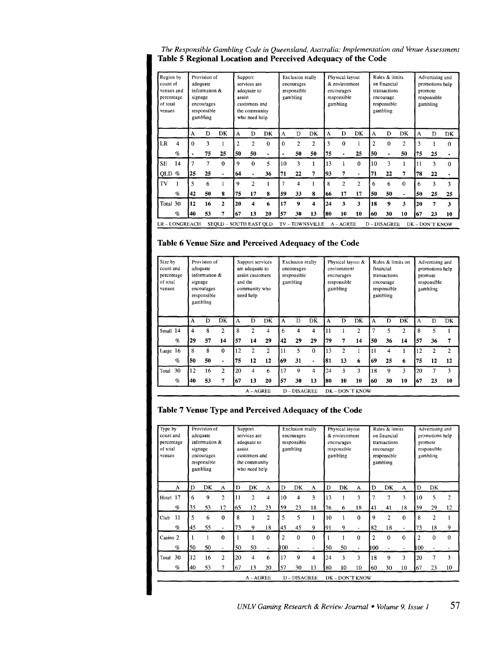*The Responsible Gambling Code in Queensland, Australia: Implementation and Venue Assessment*  Table 5 Regional Location and Perceived Adequacy of the Code

| Region by<br>count of<br>venues and<br>percentage<br>of total<br>venues |                                             | signage  | Provision of<br>adequate<br>information &<br>encourages<br>responsible<br>gambling |              |                | Support<br>services are<br>adequate to<br>assist<br>customers and<br>the community<br>who need help |              |    | Exclusion really<br>encourages<br>responsible<br>gambling |                |    | Physical layout<br>& environment<br>encourages<br>responsible<br>gambling |                |                | Rules & limits<br>on financial<br>transactions<br>encourage<br>responsible<br>gambling |                |    | Advertising and<br>promotions help<br>promote<br>responsible<br>gambling |          |  |
|-------------------------------------------------------------------------|---------------------------------------------|----------|------------------------------------------------------------------------------------|--------------|----------------|-----------------------------------------------------------------------------------------------------|--------------|----|-----------------------------------------------------------|----------------|----|---------------------------------------------------------------------------|----------------|----------------|----------------------------------------------------------------------------------------|----------------|----|--------------------------------------------------------------------------|----------|--|
|                                                                         |                                             | A        | D                                                                                  | DK           | A              | D                                                                                                   | DK           | A  | D                                                         | DK             | A  | Ð                                                                         | DK             | A              | D                                                                                      | DK             | A  | Ð                                                                        | DK       |  |
| LR                                                                      | 4                                           | $\Omega$ | 3                                                                                  |              | $\overline{c}$ | $\overline{2}$                                                                                      | $\bf{0}$     | 0  | $\overline{2}$                                            | $\overline{2}$ | 3  | $\theta$                                                                  |                | $\overline{c}$ | $\Omega$                                                                               | $\overline{2}$ | 3  |                                                                          | $\theta$ |  |
|                                                                         | $\%$                                        |          | 75                                                                                 | 25           | 50             | 50                                                                                                  | ٠            |    | 50                                                        | 50             | 75 |                                                                           | 25             | 50             | ٠                                                                                      | 50             | 75 | 25                                                                       |          |  |
| <b>SE</b>                                                               | 14                                          | 7        | 7                                                                                  | $\Omega$     | 9              | $\Omega$                                                                                            | 5            | 10 | 3                                                         | 1              | 13 |                                                                           | $\mathbf{0}$   | 10             | ٩                                                                                      | 1              | 11 | 3                                                                        | $\Omega$ |  |
| QLD $%$                                                                 |                                             | 25       | 25                                                                                 |              | 64             | ٠                                                                                                   | 36           | 71 | 22                                                        | 7              | 93 | 7                                                                         | $\blacksquare$ | 71             | 22                                                                                     | 7              | 78 | 22                                                                       | ۰        |  |
| TV                                                                      |                                             | 5        | 6                                                                                  |              | 9              | $\overline{c}$                                                                                      |              | 7  | 4                                                         |                | 8  | $\overline{2}$                                                            | $\overline{c}$ | 6              | 6                                                                                      | $\Omega$       | 6  | 3                                                                        | 3        |  |
|                                                                         | $\mathcal{G}_0$                             | 42       | 50                                                                                 | 8            | 75             | 17                                                                                                  | $\mathbf{R}$ | 59 | 33                                                        | 8              | 66 | 17                                                                        | 17             | 50             | 50                                                                                     |                | 50 | 25                                                                       | 25       |  |
| Total 30                                                                |                                             | 12       | 16                                                                                 | $\mathbf{2}$ | 20             | 4                                                                                                   | 6            | 17 | 9                                                         | 4              | 24 | 3                                                                         | 3              | 18             | 9                                                                                      | 3              | 20 | 7                                                                        | 3        |  |
|                                                                         | 13<br>53<br>67<br>$\sigma$<br>40<br>20<br>7 |          | 57                                                                                 | 30           | 13             | 80                                                                                                  | 10           | 10 | 60                                                        | 30             | 10 | 167                                                                       | 23             | 10             |                                                                                        |                |    |                                                                          |          |  |

# Table 6 Venue Size and Perceived Adequacy of the Code

| Size by<br>count and<br>percentage<br>of total<br>venues |                 |    | Provision of<br>adequate<br>information &<br>signage<br>encourages<br>responsible<br>gambling |                |    | Support services<br>are adequate to<br>assist customers<br>and the<br>community who<br>need help |                |    | <b>Exclusion really</b><br>encourages<br>responsible<br>gambling |    |    | Physical layout &<br>enviornment<br>encourages<br>responsible<br>gambling |                |     | Rules & limits on<br>financial<br>transactions<br>encourage<br>responsible<br>gambling |               |     | Advertising and<br>promotions help<br>promote<br>responsible<br>gambling |                |  |
|----------------------------------------------------------|-----------------|----|-----------------------------------------------------------------------------------------------|----------------|----|--------------------------------------------------------------------------------------------------|----------------|----|------------------------------------------------------------------|----|----|---------------------------------------------------------------------------|----------------|-----|----------------------------------------------------------------------------------------|---------------|-----|--------------------------------------------------------------------------|----------------|--|
|                                                          |                 | A  | D                                                                                             | DK             | A  | D                                                                                                | DK             | A  | D                                                                | DK | A  | D                                                                         | DK             | A   | D                                                                                      | DK            | А   | D                                                                        | DK             |  |
| Small 14                                                 |                 | 4  | 8                                                                                             | $\mathfrak{p}$ | 8  | $\mathbf{2}$                                                                                     | 4              | 6  | 4                                                                | 4  | 11 |                                                                           | $\overline{c}$ | 7   | 5                                                                                      | $\mathcal{L}$ | 8   | 5                                                                        |                |  |
|                                                          | $\mathcal{G}_0$ | 29 | 57                                                                                            | 14             | 57 | 14                                                                                               | 29             | 42 | 29                                                               | 29 | 79 | 7                                                                         | 14             | 50  | 36                                                                                     | 14            | 57  | 36                                                                       | 7              |  |
| Large 16                                                 |                 | 8  | 8                                                                                             | $\Omega$       | 12 | $\mathfrak{p}$                                                                                   | $\overline{c}$ | 11 | 5                                                                | 0  | 13 | $\overline{2}$                                                            |                | 11  | 4                                                                                      |               | 12  | $\overline{2}$                                                           | $\overline{2}$ |  |
|                                                          | $\%$            | 50 | 50                                                                                            |                | 75 | 12                                                                                               | 12             | 69 | 31                                                               |    | 81 | 13                                                                        | 6              | 69  | 25                                                                                     | 6             | 75  | 12                                                                       | 12             |  |
| Total                                                    | 30              | 12 | 16                                                                                            | 2              | 20 | 4                                                                                                | 6              | 17 | 9                                                                | 4  | 24 | 3                                                                         | 3              | 18  | 9                                                                                      | 3             | 20  | 7                                                                        | 3              |  |
|                                                          | $\%$            | 40 | 53                                                                                            |                | 67 | 13                                                                                               | 20             | 57 | 30                                                               | 13 | 80 | 10                                                                        | 10             | 160 | 30                                                                                     | 10            | 167 | 23                                                                       | 10             |  |
|                                                          |                 |    |                                                                                               |                |    | A - AGREE                                                                                        |                |    | <b>D-DISAGREE</b>                                                |    |    |                                                                           | DK-DON'T KNOW  |     |                                                                                        |               |     |                                                                          |                |  |

# Table 7 Venue Type and Perceived Adequacy of the Code

| Type by<br>count and<br>percentage<br>of total<br>venues |                                | Provision of<br>adequate<br>information &<br>signage<br>encourages<br>responsible<br>gambling |    |                |    | Support<br>services are<br>adequate to<br>assist<br>customers and<br>the community<br>who need help |                |                | Exclusion really<br>encourages<br>responsible<br>gambling |    |     | Physical layout<br>& environment<br>encourages<br>responsible<br>gambling |                |                | Rules & limits<br>on financial<br>transactions<br>encourage<br>responsible<br>gambling |          | Advertising and<br>promotions help<br>promote<br>responsible<br>gambling |                |                 |
|----------------------------------------------------------|--------------------------------|-----------------------------------------------------------------------------------------------|----|----------------|----|-----------------------------------------------------------------------------------------------------|----------------|----------------|-----------------------------------------------------------|----|-----|---------------------------------------------------------------------------|----------------|----------------|----------------------------------------------------------------------------------------|----------|--------------------------------------------------------------------------|----------------|-----------------|
|                                                          | A                              | D                                                                                             | DK | A              | D  | DK                                                                                                  | A              | D              | DK                                                        | A  | D   | DK                                                                        | A              | Ð              | DK                                                                                     | A        | D                                                                        | DK             |                 |
| Hotel 17                                                 |                                | 6                                                                                             | 9  | $\overline{2}$ | 11 | $\overline{c}$                                                                                      | 4              | 10             | 4                                                         | 3  | 13  | 1                                                                         | 3              | 7              | 7                                                                                      | 3        | 10                                                                       | 5              | $\overline{2}$  |
|                                                          | $q_{\scriptscriptstyle\!\! D}$ | 35                                                                                            | 53 | 12             | 65 | 12                                                                                                  | 23             | 59             | 23                                                        | 18 | 76  | 6                                                                         | 18             | 41             | 41                                                                                     | 18       | 59                                                                       | 29             | 12              |
| $_{\rm Club}$                                            | 11                             | 5                                                                                             | 6  | $\Omega$       | 8  |                                                                                                     | $\overline{c}$ | 5              | 5                                                         |    | 10  |                                                                           | $\mathbf 0$    | 9              | $\overline{c}$                                                                         | $\Omega$ | 8                                                                        | $\overline{2}$ |                 |
|                                                          | $\%$                           | 45                                                                                            | 55 |                | 73 | 9                                                                                                   | 18             | 45             | 45                                                        | 9  | 191 | 9                                                                         | ÷.             | 82             | 18                                                                                     |          | 73                                                                       | 18             | 9               |
| Casino 2                                                 |                                |                                                                                               |    | $\Omega$       |    |                                                                                                     | 0              | $\overline{2}$ | $\Omega$                                                  | 0  |     | 1                                                                         | 0              | $\overline{2}$ | $\Omega$                                                                               | $\Omega$ | $\overline{c}$                                                           | $\Omega$       | $\theta$        |
|                                                          | $\%$                           | 50                                                                                            | 50 |                | 50 | 50                                                                                                  | $\omega$       | 400            |                                                           |    | 50  | 50                                                                        | $\blacksquare$ | 11 OO          |                                                                                        |          | 100                                                                      |                |                 |
| Total                                                    | 30                             | 12                                                                                            | 16 | $\overline{c}$ | 20 | 4                                                                                                   | 6              | 17             | 9                                                         | 4  | 24  | 3                                                                         | 3              | 18             | 9                                                                                      | 3        | 20                                                                       | 7              | 3               |
|                                                          | $\%$                           |                                                                                               | 53 |                | 67 | 13                                                                                                  | 20             | 57             | 30                                                        | 13 | 80  | 10                                                                        | 10             | 60             | 30                                                                                     | 10       | 167                                                                      | 23             | 10 <sup>°</sup> |
|                                                          |                                |                                                                                               |    |                |    | A - AGREE                                                                                           |                | D-DISAGREE     |                                                           |    |     | DK - DON'T KNOW                                                           |                |                |                                                                                        |          |                                                                          |                |                 |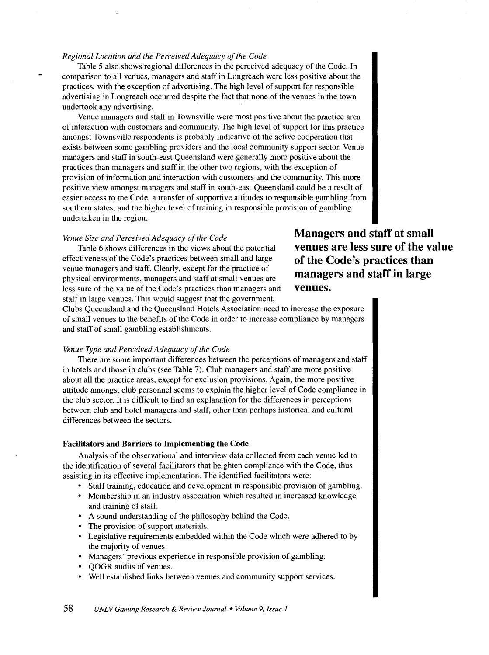#### *Regional Location and the Perceived Adequacy of the Code*

Table 5 also shows regional differences in the perceived adequacy of the Code. In comparison to all venues, managers and staff in Longreach were less positive about the practices, with the exception of advertising. The high level of support for responsible advertising in Longreach occurred despite the fact that none of the venues in the town undertook any advertising.

Venue managers and staff in Townsville were most positive about the practice area of interaction with customers and community. The high level of support for this practice amongst Townsville respondents is probably indicative of the active cooperation that exists between some gambling providers and the local community support sector. Venue managers and staff in south-east Queensland were generally more positive about the practices than managers and staff in the other two regions, with the exception of provision of information and interaction with customers and the community. This more positive view amongst managers and staff in south-east Queensland could be a result of easier access to the Code, a transfer of supportive attitudes to responsible gambling from southern states, and the higher level of training in responsible provision of gambling undertaken in the region.

#### *Venue Size and Perceived Adequacy of the Code*

Table 6 shows differences in the views about the potential effectiveness of the Code's practices between small and large venue managers and staff. Clearly, except for the practice of physical environments, managers and staff at small venues are less sure of the value of the Code's practices than managers and staff in large venues. This would suggest that the government,

**Managers and staff at small venues are less sure of the value of the Code's practices than managers and staff in large venues.** 

Clubs Queensland and the Queensland Hotels Association need to increase the exposure of small venues to the benefits of the Code in order to increase compliance by managers and staff of small gambling establishments.

#### *Venue Type and Perceived Adequacy of the Code*

There are some important differences between the perceptions of managers and staff in hotels and those in clubs (see Table 7). Club managers and staff are more positive about all the practice areas, except for exclusion provisions. Again, the more positive attitude amongst club personnel seems to explain the higher level of Code compliance in the club sector. It is difficult to find an explanation for the differences in perceptions between club and hotel managers and staff, other than perhaps historical and cultural differences between the sectors.

#### **Facilitators and Barriers to Implementing the Code**

Analysis of the observational and interview data collected from each venue led to the identification of several facilitators that heighten compliance with the Code, thus assisting in its effective implementation. The identified facilitators were:

- Staff training, education and development in responsible provision of gambling.
- Membership in an industry association which resulted in increased knowledge and training of staff.
- A sound understanding of the philosophy behind the Code.
- The provision of support materials.
- Legislative requirements embedded within the Code which were adhered to by the majority of venues.
- Managers' previous experience in responsible provision of gambling.
- QOGR audits of venues.
- Well established links between venues and community support services.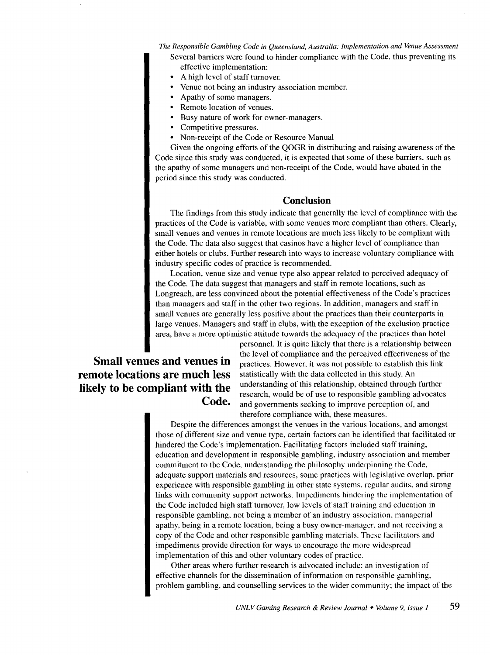Several barriers were found to hinder compliance with the Code, thus preventing its effective implementation:

- A high level of staff turnover.
- Venue not being an industry association member.
- Apathy of some managers.
- Remote location of venues.
- Busy nature of work for owner-managers.
- Competitive pressures.
- Non-receipt of the Code or Resource Manual

Given the ongoing efforts of the QOGR in distributing and raising awareness of the Code since this study was conducted, it is expected that some of these barriers, such as the apathy of some managers and non-receipt of the Code, would have abated in the period since this study was conducted.

# **Conclusion**

The findings from this study indicate that generally the level of compliance with the practices of the Code is variable, with some venues more compliant than others. Clearly, small venues and venues in remote locations are much less likely to be compliant with the Code. The data also suggest that casinos have a higher level of compliance than either hotels or clubs. Further research into ways to increase voluntary compliance with industry specific codes of practice is recommended.

Location, venue size and venue type also appear related to perceived adequacy of the Code. The data suggest that managers and staff in remote locations, such as Longreach, are less convinced about the potential effectiveness of the Code's practices than managers and staff in the other two regions. In addition, managers and staff in small venues are generally less positive about the practices than their counterparts in large venues. Managers and staff in clubs, with the exception of the exclusion practice area, have a more optimistic attitude towards the adequacy of the practices than hotel

# **remote locations are much less likely to be compliant with the Code.**

personnel. It is quite likely that there is a relationship between the level of compliance and the perceived effectiveness of the **Small venues and venues in practices**. However, it was not possible to establish this link statistically with the data collected in this study. An understanding of this relationship, obtained through further research, would be of use to responsible gambling advocates and governments seeking to improve perception of, and therefore compliance with, these measures.

> Despite the differences amongst the venues in the various locations, and amongst those of different size and venue type, certain factors can be identified that facilitated or hindered the Code's implementation. Facilitating factors included staff training, education and development in responsible gambling, industry association and member commitment to the Code, understanding the philosophy underpinning the Code, adequate support materials and resources, some practices with legislative overlap, prior experience with responsible gambling in other state systems. regular audits, and strong links with community support networks. Impediments hindering the implementation of the Code included high staff turnover, low levels of staff training and education in responsible gambling, not being a member of an industry association. managerial apathy, being in a remote location, being a busy owner-manager. and not receiving a copy of the Code and other responsible gambling materials. These facilitators and impediments provide direction for ways to encourage the more widespread implementation of this and other voluntary codes of practice.

Other areas where further research is advocated include: an investigation of effective channels for the dissemination of information on responsible gambling, problem gambling, and counselling services to the wider community; the impact of the